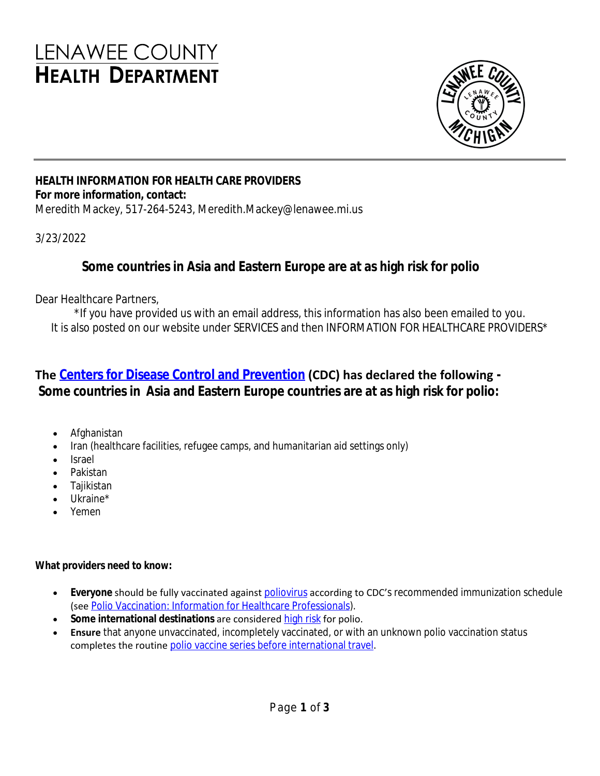# **LENAWEE COUNTY HEALTH DEPARTMENT**



### **HEALTH INFORMATION FOR HEALTH CARE PROVIDERS For more information, contact:**

Meredith Mackey, 517-264-5243, Meredith.Mackey@lenawee.mi.us

### 3/23/2022

## **Some countries in Asia and Eastern Europe are at as high risk for polio**

Dear Healthcare Partners,

\*If you have provided us with an email address, this information has also been emailed to you. It is also posted on our website under SERVICES and then INFORMATION FOR HEALTHCARE PROVIDERS\*

# **The [Centers for Disease Control and Prevention](https://gcc02.safelinks.protection.outlook.com/?url=https%3A%2F%2Fwwwnc.cdc.gov%2Ftravel%2Fnotices%2Falert%2Fpolio-asia&data=04%7C01%7CMDHHS-CHECCComms%40michigan.gov%7C596ebf7aa1f641c5ea0908da0b7c3c3a%7Cd5fb7087377742ad966a892ef47225d1%7C0%7C0%7C637834925449799110%7CUnknown%7CTWFpbGZsb3d8eyJWIjoiMC4wLjAwMDAiLCJQIjoiV2luMzIiLCJBTiI6Ik1haWwiLCJXVCI6Mn0%3D%7C3000&sdata=QESM%2BYoysnHLsZ390vS4RPsdAxhuCSHMKtrCLE%2BXSuA%3D&reserved=0) (CDC) has declared the following - Some countries in Asia and Eastern Europe countries are at as high risk for polio:**

- Afghanistan
- Iran (healthcare facilities, refugee camps, and humanitarian aid settings only)
- Israel
- Pakistan
- Tajikistan
- Ukraine\*
- Yemen

### **What providers need to know:**

- **Everyone** should be fully vaccinated against [poliovirus](https://gcc02.safelinks.protection.outlook.com/?url=https%3A%2F%2Fwww.cdc.gov%2Fpolio%2Fwhat-is-polio%2Findex.htm&data=04%7C01%7CMDHHS-CHECCComms%40michigan.gov%7C596ebf7aa1f641c5ea0908da0b7c3c3a%7Cd5fb7087377742ad966a892ef47225d1%7C0%7C0%7C637834925449799110%7CUnknown%7CTWFpbGZsb3d8eyJWIjoiMC4wLjAwMDAiLCJQIjoiV2luMzIiLCJBTiI6Ik1haWwiLCJXVCI6Mn0%3D%7C3000&sdata=EGtYM8WgoIbYs0qDqRR77UInueyGQoROVsfE9HzW328%3D&reserved=0) according to CDC's recommended immunization schedule (see [Polio Vaccination: Information for Healthcare Professionals](https://gcc02.safelinks.protection.outlook.com/?url=https%3A%2F%2Fwww.cdc.gov%2Fvaccines%2Fvpd%2Fpolio%2Fhcp%2Findex.html&data=04%7C01%7CMDHHS-CHECCComms%40michigan.gov%7C596ebf7aa1f641c5ea0908da0b7c3c3a%7Cd5fb7087377742ad966a892ef47225d1%7C0%7C0%7C637834925449799110%7CUnknown%7CTWFpbGZsb3d8eyJWIjoiMC4wLjAwMDAiLCJQIjoiV2luMzIiLCJBTiI6Ik1haWwiLCJXVCI6Mn0%3D%7C3000&sdata=G9X1q6ufguwocUnZdc%2FTWg0kvlBikNTCb9q3VCozYEM%3D&reserved=0)).
- Some international destinations are considered [high risk](https://gcc02.safelinks.protection.outlook.com/?url=https%3A%2F%2Fwwwnc.cdc.gov%2Ftravel%2Fnotices%2Falert%2Fpolio-asia&data=04%7C01%7CMDHHS-CHECCComms%40michigan.gov%7C596ebf7aa1f641c5ea0908da0b7c3c3a%7Cd5fb7087377742ad966a892ef47225d1%7C0%7C0%7C637834925449799110%7CUnknown%7CTWFpbGZsb3d8eyJWIjoiMC4wLjAwMDAiLCJQIjoiV2luMzIiLCJBTiI6Ik1haWwiLCJXVCI6Mn0%3D%7C3000&sdata=QESM%2BYoysnHLsZ390vS4RPsdAxhuCSHMKtrCLE%2BXSuA%3D&reserved=0) for polio.
- **Ensure** that anyone unvaccinated, incompletely vaccinated, or with an unknown polio vaccination status completes the routine [polio vaccine series before international travel](https://gcc02.safelinks.protection.outlook.com/?url=https%3A%2F%2Fwww.cdc.gov%2Fpolio%2Fwhat-is-polio%2Ftravelers.html&data=04%7C01%7CMDHHS-CHECCComms%40michigan.gov%7C596ebf7aa1f641c5ea0908da0b7c3c3a%7Cd5fb7087377742ad966a892ef47225d1%7C0%7C0%7C637834925449799110%7CUnknown%7CTWFpbGZsb3d8eyJWIjoiMC4wLjAwMDAiLCJQIjoiV2luMzIiLCJBTiI6Ik1haWwiLCJXVCI6Mn0%3D%7C3000&sdata=ZZ1iQ5WPRO5QaDlu7n3xu17qTA%2FKAVx21%2BhHgaaIeHc%3D&reserved=0).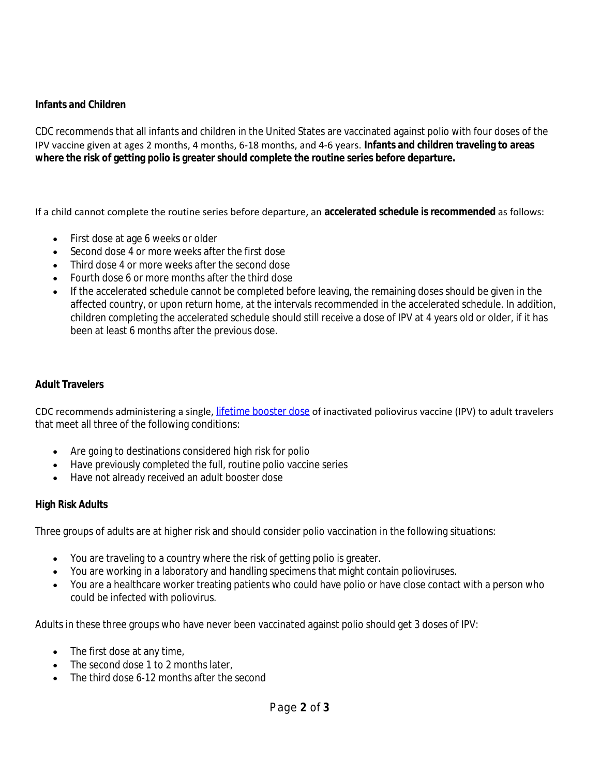### **Infants and Children**

CDC recommends that all infants and children in the United States are vaccinated against polio with four doses of the IPV vaccine given at ages 2 months, 4 months, 6-18 months, and 4-6 years. **Infants and children traveling to areas where the risk of getting polio is greater should complete the routine series before departure.**

If a child cannot complete the routine series before departure, an **accelerated schedule is recommended** as follows:

- First dose at age 6 weeks or older
- Second dose 4 or more weeks after the first dose
- Third dose 4 or more weeks after the second dose
- Fourth dose 6 or more months after the third dose
- If the accelerated schedule cannot be completed before leaving, the remaining doses should be given in the affected country, or upon return home, at the intervals recommended in the accelerated schedule. In addition, children completing the accelerated schedule should still receive a dose of IPV at 4 years old or older, if it has been at least 6 months after the previous dose.

#### **Adult Travelers**

CDC recommends administering a single, [lifetime booster dose](https://gcc02.safelinks.protection.outlook.com/?url=https%3A%2F%2Fwww.cdc.gov%2Fpolio%2Fwhat-is-polio%2Ftravelers.html&data=04%7C01%7CMDHHS-CHECCComms%40michigan.gov%7C596ebf7aa1f641c5ea0908da0b7c3c3a%7Cd5fb7087377742ad966a892ef47225d1%7C0%7C0%7C637834925449799110%7CUnknown%7CTWFpbGZsb3d8eyJWIjoiMC4wLjAwMDAiLCJQIjoiV2luMzIiLCJBTiI6Ik1haWwiLCJXVCI6Mn0%3D%7C3000&sdata=ZZ1iQ5WPRO5QaDlu7n3xu17qTA%2FKAVx21%2BhHgaaIeHc%3D&reserved=0) of inactivated poliovirus vaccine (IPV) to adult travelers that meet all three of the following conditions:

- Are going to destinations considered high risk for polio
- Have previously completed the full, routine polio vaccine series
- Have not already received an adult booster dose

#### **High Risk Adults**

Three groups of adults are at higher risk and should consider polio vaccination in the following situations:

- You are traveling to a country where the risk of getting polio is greater.
- You are working in a laboratory and handling specimens that might contain polioviruses.
- You are a healthcare worker treating patients who could have polio or have close contact with a person who could be infected with poliovirus.

Adults in these three groups who have never been vaccinated against polio should get 3 doses of IPV:

- The first dose at any time,
- The second dose 1 to 2 months later,
- The third dose 6-12 months after the second